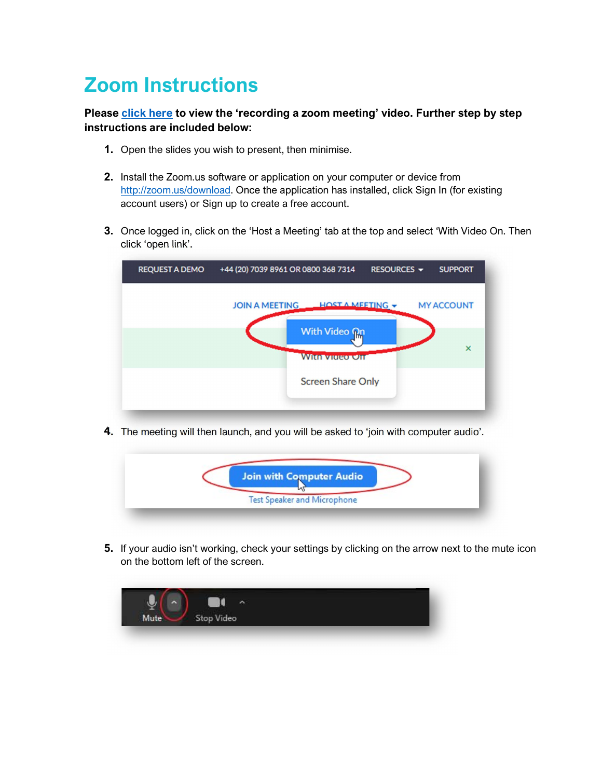## Zoom Instructions

## Please click here to view the 'recording a zoom meeting' video. Further step by step instructions are included below:

- 1. Open the slides you wish to present, then minimise.
- 2. Install the Zoom.us software or application on your computer or device from http://zoom.us/download. Once the application has installed, click Sign In (for existing account users) or Sign up to create a free account.
- 3. Once logged in, click on the 'Host a Meeting' tab at the top and select 'With Video On. Then click 'open link'.



4. The meeting will then launch, and you will be asked to 'join with computer audio'.



5. If your audio isn't working, check your settings by clicking on the arrow next to the mute icon on the bottom left of the screen.

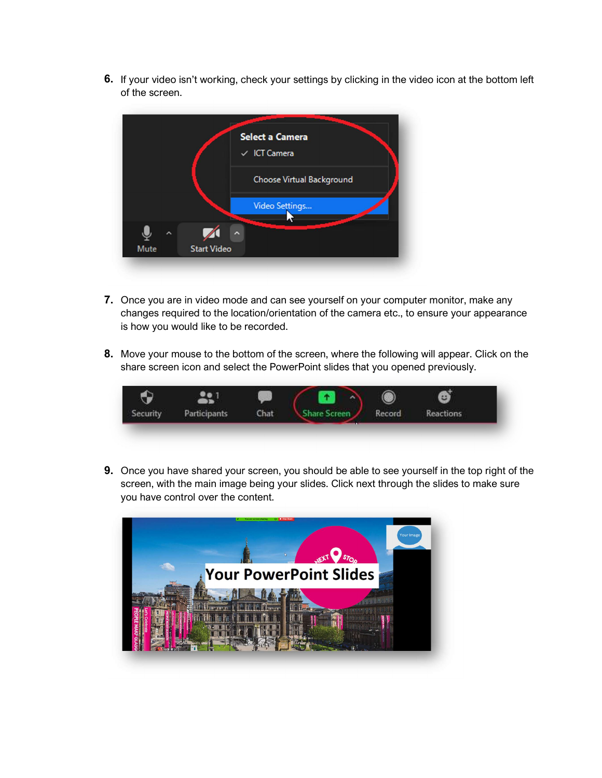6. If your video isn't working, check your settings by clicking in the video icon at the bottom left of the screen.



- 7. Once you are in video mode and can see yourself on your computer monitor, make any changes required to the location/orientation of the camera etc., to ensure your appearance is how you would like to be recorded.
- 8. Move your mouse to the bottom of the screen, where the following will appear. Click on the share screen icon and select the PowerPoint slides that you opened previously.



**9.** Once you have shared your screen, you should be able to see yourself in the top right of the screen, with the main image being your slides. Click next through the slides to make sure you have control over the content.